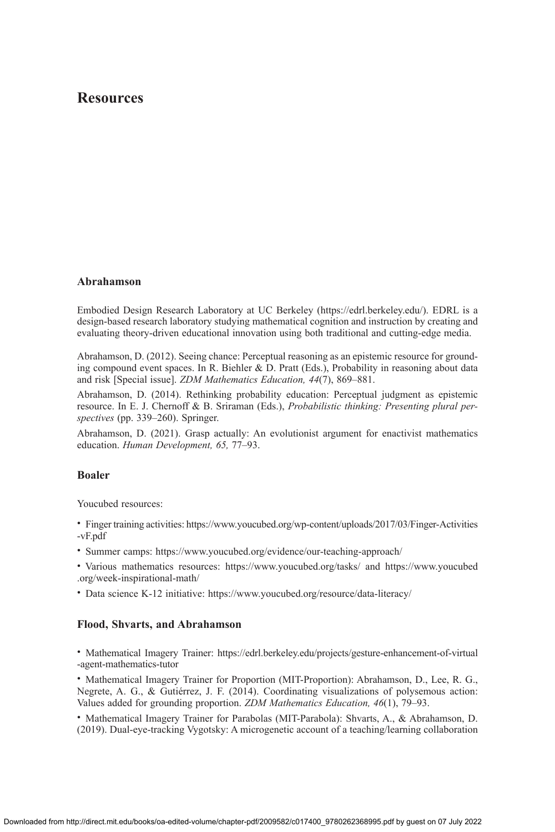# **Resources**

### **Abrahamson**

Embodied Design Research Laboratory at UC Berkeley ([https://edrl.berkeley.edu/\)](https://edrl.berkeley.edu/). EDRL is a design-based research laboratory studying mathematical cognition and instruction by creating and evaluating theory-driven educational innovation using both traditional and cutting-edge media.

Abrahamson, D. (2012). Seeing chance: Perceptual reasoning as an epistemic resource for grounding compound event spaces. In R. Biehler & D. Pratt (Eds.), Probability in reasoning about data and risk [Special issue]. *ZDM Mathematics Education, 44*(7), 869–881.

Abrahamson, D. (2014). Rethinking probability education: Perceptual judgment as epistemic resource. In E. J. Chernoff & B. Sriraman (Eds.), *Probabilistic thinking: Presenting plural perspectives* (pp. 339–260). Springer.

Abrahamson, D. (2021). Grasp actually: An evolutionist argument for enactivist mathematics education. *Human Development, 65,* 77–93.

# **Boaler**

Youcubed resources:

- Finger training activities: [https://www.youcubed.org/wp-content/uploads/2017/03/Finger-Activities](https://www.youcubed.org/wp-content/uploads/2017/03/Finger-Activities-vF.pdf) [-vF.pdf](https://www.youcubed.org/wp-content/uploads/2017/03/Finger-Activities-vF.pdf)
- Summer camps: <https://www.youcubed.org/evidence/our-teaching-approach/>
- Various mathematics resources: <https://www.youcubed.org/tasks/>and [https://www.youcubed](https://www.youcubed.org/week-inspirational-math/) [.org/week-inspirational-math/](https://www.youcubed.org/week-inspirational-math/)
- Data science K-12 initiative: <https://www.youcubed.org/resource/data-literacy/>

# **Flood, Shvarts, and Abrahamson**

• Mathematical Imagery Trainer: [https://edrl.berkeley.edu/projects/gesture-enhancement-of-virtual](https://edrl.berkeley.edu/projects/gesture-enhancement-of-virtual-agent-mathematics-tutor) [-agent-mathematics-tutor](https://edrl.berkeley.edu/projects/gesture-enhancement-of-virtual-agent-mathematics-tutor)

• Mathematical Imagery Trainer for Proportion (MIT-Proportion): Abrahamson, D., Lee, R. G., Negrete, A. G., & Gutiérrez, J. F. (2014). Coordinating visualizations of polysemous action: Values added for grounding proportion. *ZDM Mathematics Education, 46*(1), 79–93.

• Mathematical Imagery Trainer for Parabolas (MIT-Parabola): Shvarts, A., & Abrahamson, D. (2019). Dual-eye-tracking Vygotsky: A microgenetic account of a teaching/learning collaboration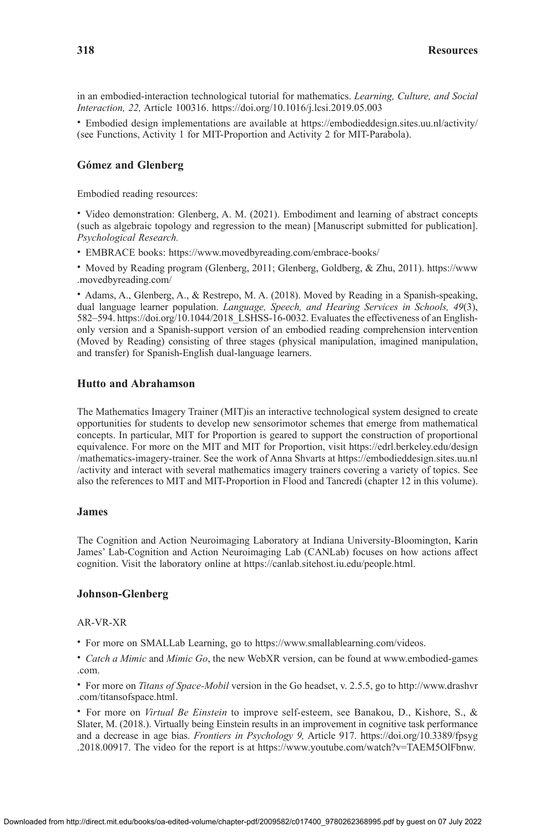in an embodied-interaction technological tutorial for mathematics. *Learning, Culture, and Social Interaction, 22,* Article 100316. <https://doi.org/10.1016/j.lcsi.2019.05.003>

• Embodied design implementations are available at <https://embodieddesign.sites.uu.nl/activity/> (see Functions, Activity 1 for MIT-Proportion and Activity 2 for MIT-Parabola).

### **Gómez and Glenberg**

Embodied reading resources:

• Video demonstration: Glenberg, A. M. (2021). Embodiment and learning of abstract concepts (such as algebraic topology and regression to the mean) [Manuscript submitted for publication]. *Psychological Research.*

• EMBRACE books: <https://www.movedbyreading.com/embrace-books/>

• Moved by Reading program (Glenberg, 2011; Glenberg, Goldberg, & Zhu, 2011). [https://www](https://www.movedbyreading.com/) [.movedbyreading.com/](https://www.movedbyreading.com/)

• Adams, A., Glenberg, A., & Restrepo, M. A. (2018). Moved by Reading in a Spanish-speaking, dual language learner population. *Language, Speech, and Hearing Services in Schools, 49*(3), 582–594. [https://doi.org/10.1044/2018\\_LSHSS-16-0032](https://doi.org/10.1044/2018_LSHSS-16-0032). Evaluates the effectiveness of an Englishonly version and a Spanish-support version of an embodied reading comprehension intervention (Moved by Reading) consisting of three stages (physical manipulation, imagined manipulation, and transfer) for Spanish-English dual-language learners.

# **Hutto and Abrahamson**

The Mathematics Imagery Trainer (MIT)is an interactive technological system designed to create opportunities for students to develop new sensorimotor schemes that emerge from mathematical concepts. In particular, MIT for Proportion is geared to support the construction of proportional equivalence. For more on the MIT and MIT for Proportion, visit [https://edrl.berkeley.edu/design](https://edrl.berkeley.edu/design/mathematics-imagery-trainer) [/mathematics-imagery-trainer.](https://edrl.berkeley.edu/design/mathematics-imagery-trainer) See the work of Anna Shvarts at [https://embodieddesign.sites.uu.nl](https://embodieddesign.sites.uu.nl/activity) [/activity](https://embodieddesign.sites.uu.nl/activity) and interact with several mathematics imagery trainers covering a variety of topics. See also the references to MIT and MIT-Proportion in Flood and Tancredi (chapter 12 in this volume).

#### **James**

The Cognition and Action Neuroimaging Laboratory at Indiana University-Bloomington, Karin James' Lab-Cognition and Action Neuroimaging Lab (CANLab) focuses on how actions affect cognition. Visit the laboratory online at [https://canlab.sitehost.iu.edu/people.html.](https://canlab.sitehost.iu.edu/people.html)

# **Johnson-Glenberg**

### AR-VR-XR

• For more on SMALLab Learning, go to [https://www.smallablearning.com/videos.](https://www.smallablearning.com/videos)

• *Catch a Mimic* and *Mimic Go*, the new WebXR version, can be found at [www.embodied-games](http://www.embodied-games.com) [.com.](http://www.embodied-games.com)

• For more on *Titans of Space-Mobil* version in the Go headset, v. 2.5.5, go to [http://www.drashvr](http://www.drashvr.com/titansofspace.html) [.com/titansofspace.html](http://www.drashvr.com/titansofspace.html).

• For more on *Virtual Be Einstein* to improve self-esteem, see Banakou, D., Kishore, S., & Slater, M. (2018.). Virtually being Einstein results in an improvement in cognitive task performance and a decrease in age bias. *Frontiers in Psychology 9,* Article 917. [https://doi.org/10.3389/fpsyg](https://doi.org/10.3389/fpsyg.2018.00917) [.2018.00917](https://doi.org/10.3389/fpsyg.2018.00917). The video for the report is at <https://www.youtube.com/watch?v=TAEM5OlFbnw>.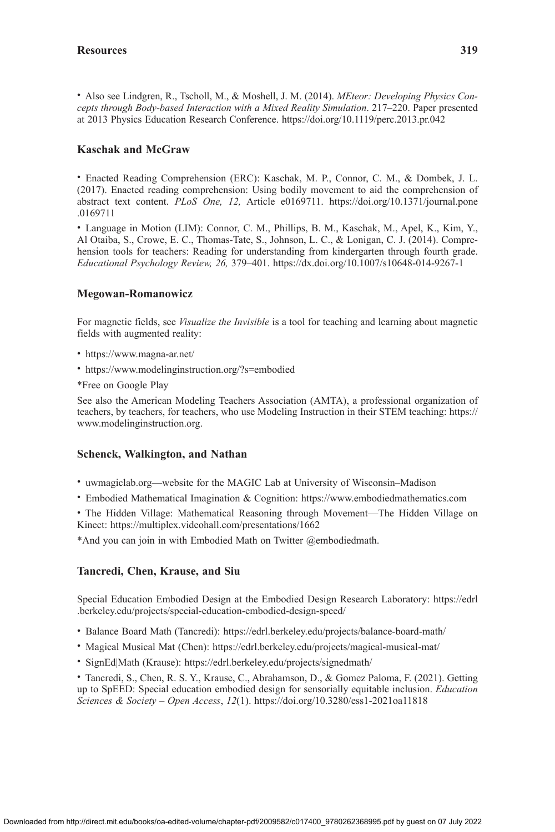• Also see Lindgren, R., Tscholl, M., & Moshell, J. M. (2014). *MEteor: Developing Physics Concepts through Body-based Interaction with a Mixed Reality Simulation*. 217–220. Paper presented at 2013 Physics Education Research Conference.<https://doi.org/10.1119/perc.2013.pr.042>

# **Kaschak and McGraw**

• Enacted Reading Comprehension (ERC): Kaschak, M. P., Connor, C. M., & Dombek, J. L. (2017). Enacted reading comprehension: Using bodily movement to aid the comprehension of abstract text content. *PLoS One, 12,* Article e0169711. [https://doi.org/10.1371/journal.pone](https://doi.org/10.1371/journal.pone.0169711) [.0169711](https://doi.org/10.1371/journal.pone.0169711)

• Language in Motion (LIM): Connor, C. M., Phillips, B. M., Kaschak, M., Apel, K., Kim, Y., Al Otaiba, S., Crowe, E. C., Thomas-Tate, S., Johnson, L. C., & Lonigan, C. J. (2014). Comprehension tools for teachers: Reading for understanding from kindergarten through fourth grade. *Educational Psychology Review, 26,* 379–401.<https://dx.doi.org/10.1007/s10648-014-9267-1>

# **Megowan-Romanowicz**

For magnetic fields, see *Visualize the Invisible* is a tool for teaching and learning about magnetic fields with augmented reality:

- <https://www.magna-ar.net/>
- <https://www.modelinginstruction.org/?s=embodied>
- \*Free on Google Play

See also the American Modeling Teachers Association (AMTA), a professional organization of teachers, by teachers, for teachers, who use Modeling Instruction in their STEM teaching: [https://](https://www.modelinginstruction.org) [www.modelinginstruction.org.](https://www.modelinginstruction.org)

# **Schenck, Walkington, and Nathan**

- uwmagiclab.org—website for the MAGIC Lab at University of Wisconsin–Madison
- Embodied Mathematical Imagination & Cognition: <https://www.embodiedmathematics.com>

• The Hidden Village: Mathematical Reasoning through Movement—The Hidden Village on Kinect: <https://multiplex.videohall.com/presentations/1662>

\*And you can join in with Embodied Math on Twitter @embodiedmath.

# **Tancredi, Chen, Krause, and Siu**

Special Education Embodied Design at the Embodied Design Research Laboratory: [https://edrl](https://edrl.berkeley.edu/projects/special-education-embodied-design-speed/) [.berkeley.edu/projects/special-education-embodied-design-speed/](https://edrl.berkeley.edu/projects/special-education-embodied-design-speed/)

- Balance Board Math (Tancredi): <https://edrl.berkeley.edu/projects/balance-board-math/>
- Magical Musical Mat (Chen):<https://edrl.berkeley.edu/projects/magical-musical-mat/>
- SignEd|Math (Krause): <https://edrl.berkeley.edu/projects/signedmath/>

• Tancredi, S., Chen, R. S. Y., Krause, C., Abrahamson, D., & Gomez Paloma, F. (2021). Getting up to SpEED: Special education embodied design for sensorially equitable inclusion. *Education Sciences & Society – Open Access*, *12*(1). <https://doi.org/10.3280/ess1-2021oa11818>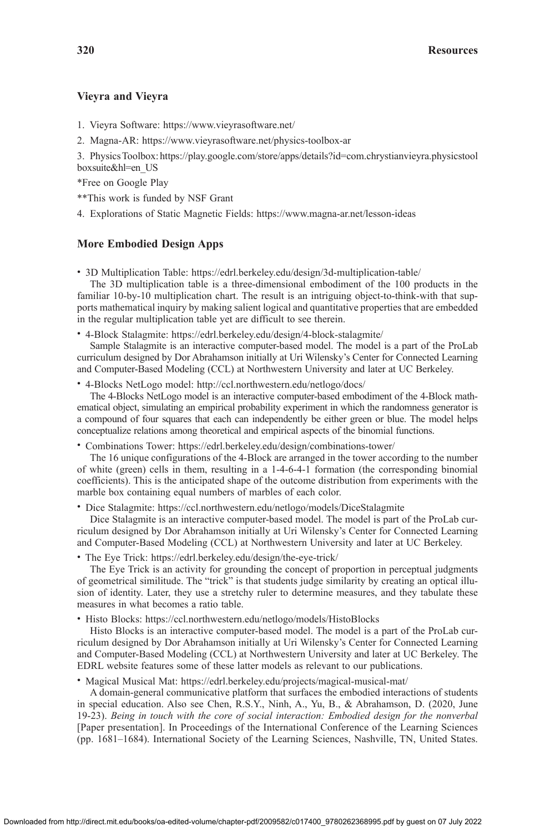### **Vieyra and Vieyra**

- 1. Vieyra Software: <https://www.vieyrasoftware.net/>
- 2. Magna-AR: <https://www.vieyrasoftware.net/physics-toolbox-ar>

3. Physics Toolbox: [https://play.google.com/store/apps/details?id=com.chrystianvieyra.physicstool](https://play.google.com/store/apps/details?id=com.chrystianvieyra.physicstoolboxsuite&hl=en_US) [boxsuite&hl=en\\_US](https://play.google.com/store/apps/details?id=com.chrystianvieyra.physicstoolboxsuite&hl=en_US)

\*Free on Google Play

\*\*This work is funded by NSF Grant

4. Explorations of Static Magnetic Fields: <https://www.magna-ar.net/lesson-ideas>

### **More Embodied Design Apps**

• 3D Multiplication Table: <https://edrl.berkeley.edu/design/3d-multiplication-table/>

The 3D multiplication table is a three-dimensional embodiment of the 100 products in the familiar 10-by-10 multiplication chart. The result is an intriguing object-to-think-with that supports mathematical inquiry by making salient logical and quantitative properties that are embedded in the regular multiplication table yet are difficult to see therein.

• 4-Block Stalagmite: <https://edrl.berkeley.edu/design/4-block-stalagmite/>

Sample Stalagmite is an interactive computer-based model. The model is a part of the ProLab curriculum designed by Dor Abrahamson initially at Uri Wilensky's Center for Connected Learning and Computer-Based Modeling (CCL) at Northwestern University and later at UC Berkeley.

• 4-Blocks NetLogo model: <http://ccl.northwestern.edu/netlogo/docs/>

The 4-Blocks NetLogo model is an interactive computer-based embodiment of the 4-Block mathematical object, simulating an empirical probability experiment in which the randomness generator is a compound of four squares that each can independently be either green or blue. The model helps conceptualize relations among theoretical and empirical aspects of the binomial functions.

• Combinations Tower: <https://edrl.berkeley.edu/design/combinations-tower/>

The 16 unique configurations of the 4-Block are arranged in the tower according to the number of white (green) cells in them, resulting in a 1-4-6-4-1 formation (the corresponding binomial coefficients). This is the anticipated shape of the outcome distribution from experiments with the marble box containing equal numbers of marbles of each color.

• Dice Stalagmite: <https://ccl.northwestern.edu/netlogo/models/DiceStalagmite>

Dice Stalagmite is an interactive computer-based model. The model is part of the ProLab curriculum designed by Dor Abrahamson initially at Uri Wilensky's Center for Connected Learning and Computer-Based Modeling (CCL) at Northwestern University and later at UC Berkeley.

• The Eye Trick: <https://edrl.berkeley.edu/design/the-eye-trick/>

The Eye Trick is an activity for grounding the concept of proportion in perceptual judgments of geometrical similitude. The "trick" is that students judge similarity by creating an optical illusion of identity. Later, they use a stretchy ruler to determine measures, and they tabulate these measures in what becomes a ratio table.

• Histo Blocks: <https://ccl.northwestern.edu/netlogo/models/HistoBlocks>

Histo Blocks is an interactive computer-based model. The model is a part of the ProLab curriculum designed by Dor Abrahamson initially at Uri Wilensky's Center for Connected Learning and Computer-Based Modeling (CCL) at Northwestern University and later at UC Berkeley. The EDRL website features some of these latter models as relevant to our publications.

• Magical Musical Mat: <https://edrl.berkeley.edu/projects/magical-musical-mat/>

A domain-general communicative platform that surfaces the embodied interactions of students in special education. Also see Chen, R.S.Y., Ninh, A., Yu, B., & Abrahamson, D. (2020, June 19-23). *Being in touch with the core of social interaction: Embodied design for the nonverbal* [Paper presentation]. In Proceedings of the International Conference of the Learning Sciences (pp. 1681–1684). International Society of the Learning Sciences, Nashville, TN, United States.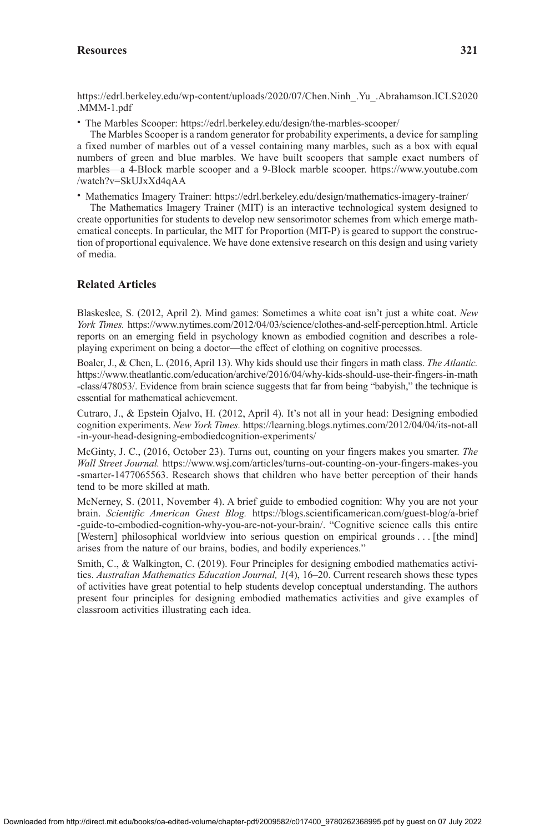# Resources 321

[https://edrl.berkeley.edu/wp-content/uploads/2020/07/Chen.Ninh\\_.Yu\\_.Abrahamson.ICLS2020](https://edrl.berkeley.edu/wp-content/uploads/2020/07/Chen.Ninh_.Yu_.Abrahamson.ICLS2020.MMM-1.pdf) [.MMM-1.pdf](https://edrl.berkeley.edu/wp-content/uploads/2020/07/Chen.Ninh_.Yu_.Abrahamson.ICLS2020.MMM-1.pdf)

• The Marbles Scooper: <https://edrl.berkeley.edu/design/the-marbles-scooper/>

The Marbles Scooper is a random generator for probability experiments, a device for sampling a fixed number of marbles out of a vessel containing many marbles, such as a box with equal numbers of green and blue marbles. We have built scoopers that sample exact numbers of marbles—a 4-Block marble scooper and a 9-Block marble scooper. [https://www.youtube.com](https://www.youtube.com/watch?v=SkUJxXd4qAA) [/watch?v=SkUJxXd4qAA](https://www.youtube.com/watch?v=SkUJxXd4qAA)

• Mathematics Imagery Trainer: <https://edrl.berkeley.edu/design/mathematics-imagery-trainer/>

The Mathematics Imagery Trainer (MIT) is an interactive technological system designed to create opportunities for students to develop new sensorimotor schemes from which emerge mathematical concepts. In particular, the MIT for Proportion (MIT-P) is geared to support the construction of proportional equivalence. We have done extensive research on this design and using variety of media.

# **Related Articles**

Blaskeslee, S. (2012, April 2). Mind games: Sometimes a white coat isn't just a white coat. *New York Times.* <https://www.nytimes.com/2012/04/03/science/clothes-and-self-perception.html>. Article reports on an emerging field in psychology known as embodied cognition and describes a roleplaying experiment on being a doctor—the effect of clothing on cognitive processes.

Boaler, J., & Chen, L. (2016, April 13). Why kids should use their fingers in math class. *The Atlantic.* [https://www.theatlantic.com/education/archive/2016/04/why-kids-should-use-their-fingers-in-math](https://www.theatlantic.com/education/archive/2016/04/why-kids-should-use-their-fingers-in-math-class/478053/) [-class/478053/.](https://www.theatlantic.com/education/archive/2016/04/why-kids-should-use-their-fingers-in-math-class/478053/) Evidence from brain science suggests that far from being "babyish," the technique is essential for mathematical achievement.

Cutraro, J., & Epstein Ojalvo, H. (2012, April 4). It's not all in your head: Designing embodied cognition experiments. *New York Times.* [https://learning.blogs.nytimes.com/2012/04/04/its-not-all](https://learning.blogs.nytimes.com/2012/04/04/its-not-all-in-your-head-designing-embodiedcognition-experiments/) [-in-your-head-designing-embodiedcognition-experiments/](https://learning.blogs.nytimes.com/2012/04/04/its-not-all-in-your-head-designing-embodiedcognition-experiments/)

McGinty, J. C., (2016, October 23). Turns out, counting on your fingers makes you smarter. *The Wall Street Journal.* [https://www.wsj.com/articles/turns-out-counting-on-your-fingers-makes-you](https://www.wsj.com/articles/turns-out-counting-on-your-fingers-makes-you-smarter-1477065563) [-smarter-1477065563](https://www.wsj.com/articles/turns-out-counting-on-your-fingers-makes-you-smarter-1477065563). Research shows that children who have better perception of their hands tend to be more skilled at math.

McNerney, S. (2011, November 4). A brief guide to embodied cognition: Why you are not your brain. *Scientific American Guest Blog.* [https://blogs.scientificamerican.com/guest-blog/a-brief](https://blogs.scientificamerican.com/guest-blog/a-brief-guide-to-embodied-cognition-why-you-are-not-your-brain/) [-guide-to-embodied-cognition-why-you-are-not-your-brain/](https://blogs.scientificamerican.com/guest-blog/a-brief-guide-to-embodied-cognition-why-you-are-not-your-brain/). "Cognitive science calls this entire [Western] philosophical worldview into serious question on empirical grounds . . . [the mind] arises from the nature of our brains, bodies, and bodily experiences."

Smith, C., & Walkington, C. (2019). Four Principles for designing embodied mathematics activities. *Australian Mathematics Education Journal, 1*(4), 16–20. Current research shows these types of activities have great potential to help students develop conceptual understanding. The authors present four principles for designing embodied mathematics activities and give examples of classroom activities illustrating each idea.